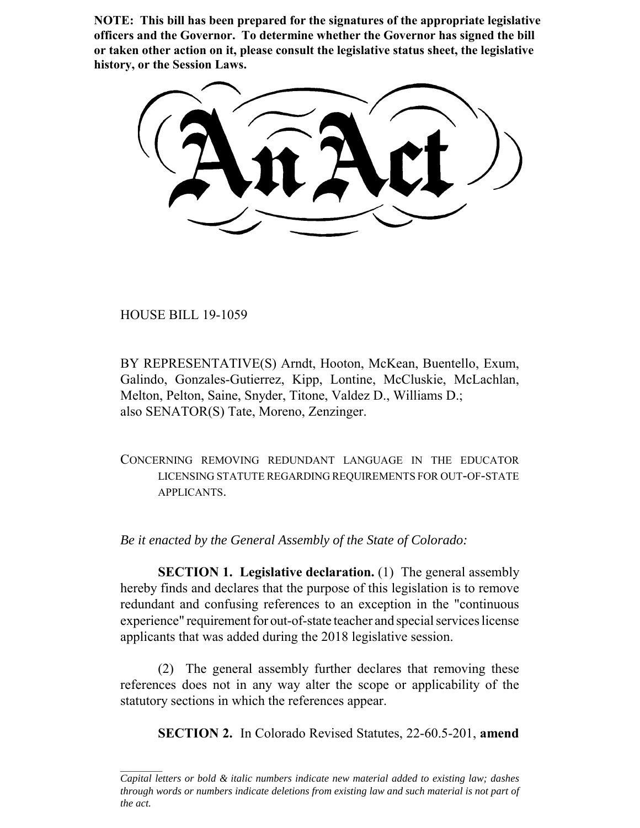**NOTE: This bill has been prepared for the signatures of the appropriate legislative officers and the Governor. To determine whether the Governor has signed the bill or taken other action on it, please consult the legislative status sheet, the legislative history, or the Session Laws.**

HOUSE BILL 19-1059

BY REPRESENTATIVE(S) Arndt, Hooton, McKean, Buentello, Exum, Galindo, Gonzales-Gutierrez, Kipp, Lontine, McCluskie, McLachlan, Melton, Pelton, Saine, Snyder, Titone, Valdez D., Williams D.; also SENATOR(S) Tate, Moreno, Zenzinger.

CONCERNING REMOVING REDUNDANT LANGUAGE IN THE EDUCATOR LICENSING STATUTE REGARDING REQUIREMENTS FOR OUT-OF-STATE APPLICANTS.

*Be it enacted by the General Assembly of the State of Colorado:*

**SECTION 1. Legislative declaration.** (1) The general assembly hereby finds and declares that the purpose of this legislation is to remove redundant and confusing references to an exception in the "continuous experience" requirement for out-of-state teacher and special services license applicants that was added during the 2018 legislative session.

(2) The general assembly further declares that removing these references does not in any way alter the scope or applicability of the statutory sections in which the references appear.

**SECTION 2.** In Colorado Revised Statutes, 22-60.5-201, **amend**

*Capital letters or bold & italic numbers indicate new material added to existing law; dashes through words or numbers indicate deletions from existing law and such material is not part of the act.*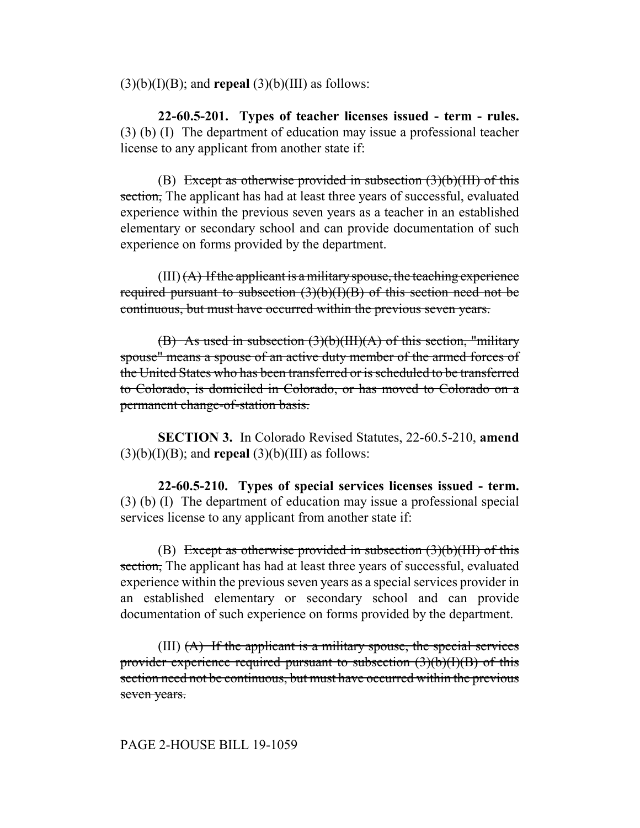$(3)(b)(I)(B)$ ; and **repeal**  $(3)(b)(III)$  as follows:

**22-60.5-201. Types of teacher licenses issued - term - rules.** (3) (b) (I) The department of education may issue a professional teacher license to any applicant from another state if:

(B) Except as otherwise provided in subsection  $(3)(b)(III)$  of this section, The applicant has had at least three years of successful, evaluated experience within the previous seven years as a teacher in an established elementary or secondary school and can provide documentation of such experience on forms provided by the department.

 $(III)$   $(A)$  If the applicant is a military spouse, the teaching experience required pursuant to subsection  $(3)(b)(I)(B)$  of this section need not be continuous, but must have occurred within the previous seven years.

(B) As used in subsection  $(3)(b)(III)(A)$  of this section, "military spouse" means a spouse of an active duty member of the armed forces of the United States who has been transferred or is scheduled to be transferred to Colorado, is domiciled in Colorado, or has moved to Colorado on a permanent change-of-station basis.

**SECTION 3.** In Colorado Revised Statutes, 22-60.5-210, **amend**  $(3)(b)(I)(B)$ ; and **repeal**  $(3)(b)(III)$  as follows:

**22-60.5-210. Types of special services licenses issued - term.** (3) (b) (I) The department of education may issue a professional special services license to any applicant from another state if:

(B) Except as otherwise provided in subsection  $(3)(b)(III)$  of this section. The applicant has had at least three years of successful, evaluated experience within the previous seven years as a special services provider in an established elementary or secondary school and can provide documentation of such experience on forms provided by the department.

(III)  $(A)$  If the applicant is a military spouse, the special services provider experience required pursuant to subsection  $(3)(b)(I)(B)$  of this section need not be continuous, but must have occurred within the previous seven years.